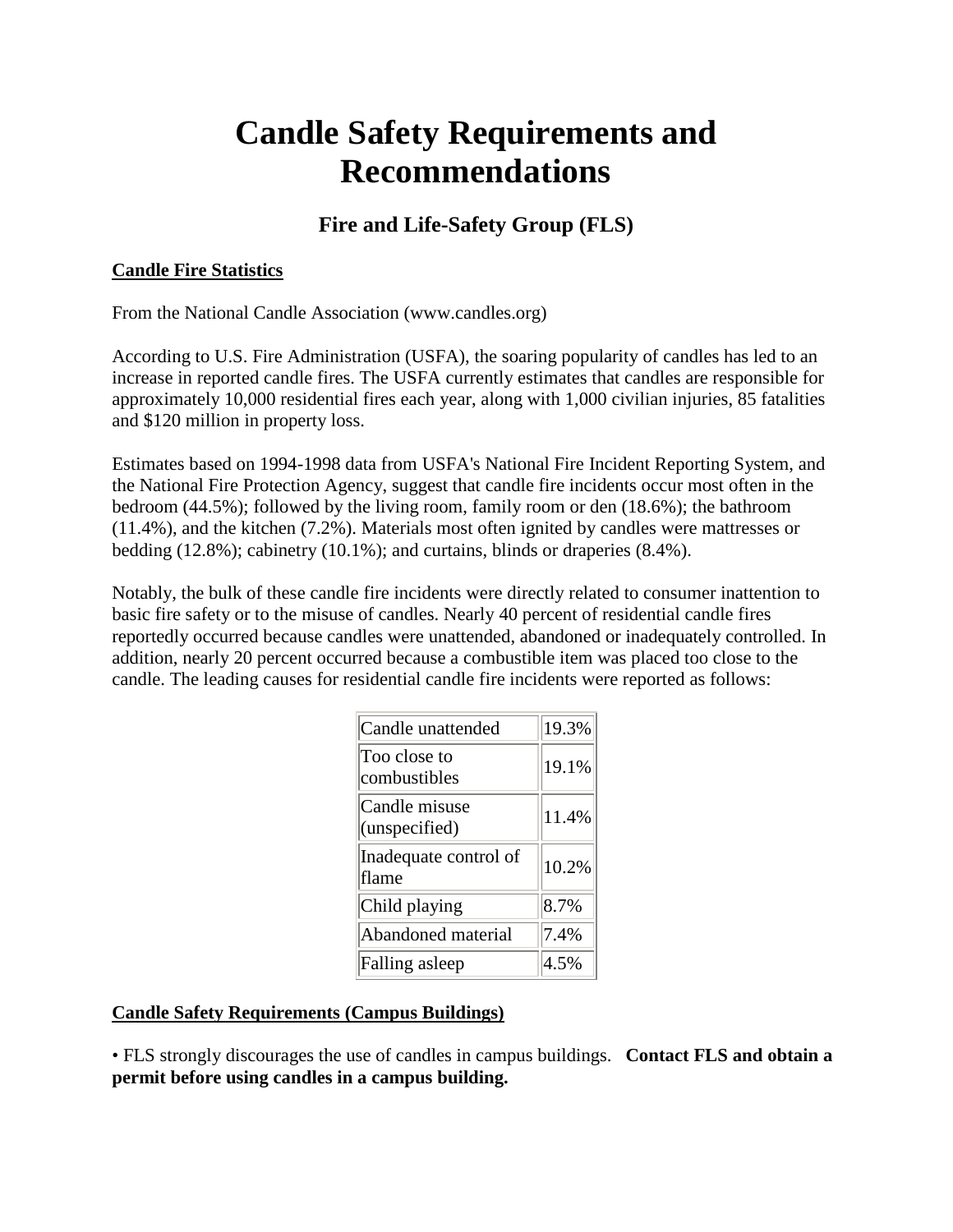# **Candle Safety Requirements and Recommendations**

# **Fire and Life-Safety Group (FLS)**

## **Candle Fire Statistics**

From the National Candle Association (www.candles.org)

According to U.S. Fire Administration (USFA), the soaring popularity of candles has led to an increase in reported candle fires. The USFA currently estimates that candles are responsible for approximately 10,000 residential fires each year, along with 1,000 civilian injuries, 85 fatalities and \$120 million in property loss.

Estimates based on 1994-1998 data from USFA's National Fire Incident Reporting System, and the National Fire Protection Agency, suggest that candle fire incidents occur most often in the bedroom (44.5%); followed by the living room, family room or den (18.6%); the bathroom (11.4%), and the kitchen (7.2%). Materials most often ignited by candles were mattresses or bedding (12.8%); cabinetry (10.1%); and curtains, blinds or draperies (8.4%).

Notably, the bulk of these candle fire incidents were directly related to consumer inattention to basic fire safety or to the misuse of candles. Nearly 40 percent of residential candle fires reportedly occurred because candles were unattended, abandoned or inadequately controlled. In addition, nearly 20 percent occurred because a combustible item was placed too close to the candle. The leading causes for residential candle fire incidents were reported as follows:

| Candle unattended              | 19.3% |
|--------------------------------|-------|
| Too close to<br>combustibles   | 19.1% |
| Candle misuse<br>(unspecified) | 11.4% |
| Inadequate control of<br>flame | 10.2% |
| Child playing                  | 8.7%  |
| Abandoned material             | 7.4%  |
| Falling asleep                 | 4.5%  |

#### **Candle Safety Requirements (Campus Buildings)**

• FLS strongly discourages the use of candles in campus buildings. **Contact FLS and obtain a permit before using candles in a campus building.**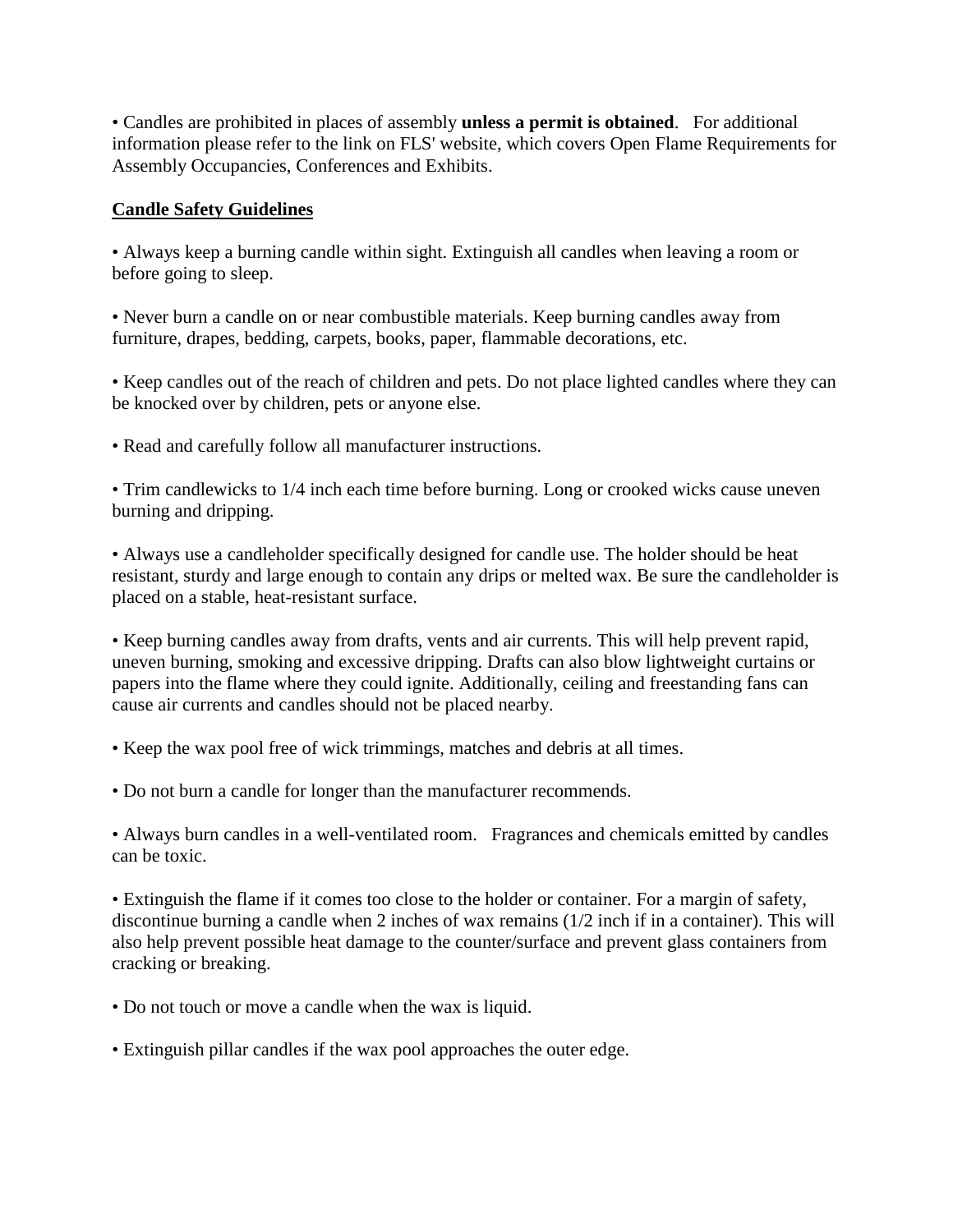• Candles are prohibited in places of assembly **unless a permit is obtained**. For additional information please refer to the link on FLS' website, which covers Open Flame Requirements for Assembly Occupancies, Conferences and Exhibits.

#### **Candle Safety Guidelines**

• Always keep a burning candle within sight. Extinguish all candles when leaving a room or before going to sleep.

• Never burn a candle on or near combustible materials. Keep burning candles away from furniture, drapes, bedding, carpets, books, paper, flammable decorations, etc.

• Keep candles out of the reach of children and pets. Do not place lighted candles where they can be knocked over by children, pets or anyone else.

• Read and carefully follow all manufacturer instructions.

• Trim candlewicks to 1/4 inch each time before burning. Long or crooked wicks cause uneven burning and dripping.

• Always use a candleholder specifically designed for candle use. The holder should be heat resistant, sturdy and large enough to contain any drips or melted wax. Be sure the candleholder is placed on a stable, heat-resistant surface.

• Keep burning candles away from drafts, vents and air currents. This will help prevent rapid, uneven burning, smoking and excessive dripping. Drafts can also blow lightweight curtains or papers into the flame where they could ignite. Additionally, ceiling and freestanding fans can cause air currents and candles should not be placed nearby.

• Keep the wax pool free of wick trimmings, matches and debris at all times.

• Do not burn a candle for longer than the manufacturer recommends.

• Always burn candles in a well-ventilated room. Fragrances and chemicals emitted by candles can be toxic.

• Extinguish the flame if it comes too close to the holder or container. For a margin of safety, discontinue burning a candle when 2 inches of wax remains (1/2 inch if in a container). This will also help prevent possible heat damage to the counter/surface and prevent glass containers from cracking or breaking.

- Do not touch or move a candle when the wax is liquid.
- Extinguish pillar candles if the wax pool approaches the outer edge.